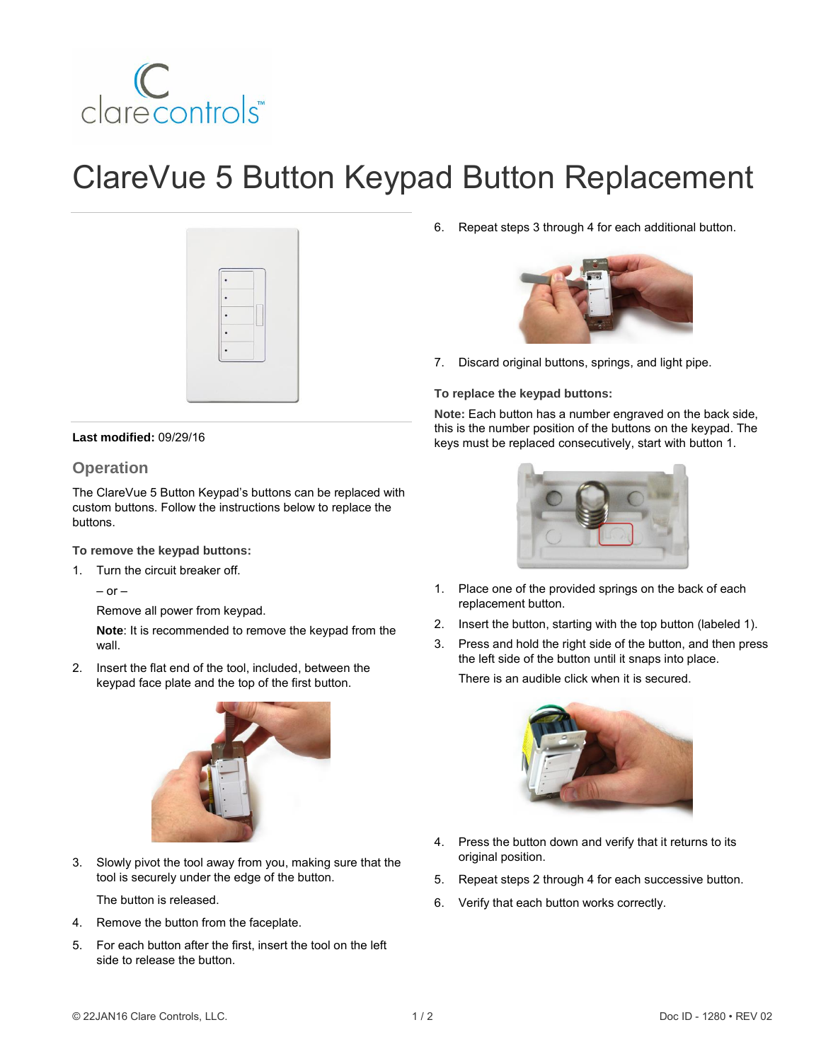

# ClareVue 5 Button Keypad Button Replacement



#### **Last modified:** 09/29/16

### **Operation**

The ClareVue 5 Button Keypad's buttons can be replaced with custom buttons. Follow the instructions below to replace the buttons.

#### **To remove the keypad buttons:**

1. Turn the circuit breaker off.

 $-$  or  $-$ 

Remove all power from keypad.

**Note**: It is recommended to remove the keypad from the wall.

2. Insert the flat end of the tool, included, between the keypad face plate and the top of the first button.



3. Slowly pivot the tool away from you, making sure that the tool is securely under the edge of the button.

The button is released.

- 4. Remove the button from the faceplate.
- 5. For each button after the first, insert the tool on the left side to release the button.

6. Repeat steps 3 through 4 for each additional button.



7. Discard original buttons, springs, and light pipe.

#### **To replace the keypad buttons:**

**Note:** Each button has a number engraved on the back side, this is the number position of the buttons on the keypad. The keys must be replaced consecutively, start with button 1.



- 1. Place one of the provided springs on the back of each replacement button.
- 2. Insert the button, starting with the top button (labeled 1).
- 3. Press and hold the right side of the button, and then press the left side of the button until it snaps into place.

There is an audible click when it is secured.



- 4. Press the button down and verify that it returns to its original position.
- 5. Repeat steps 2 through 4 for each successive button.
- 6. Verify that each button works correctly.